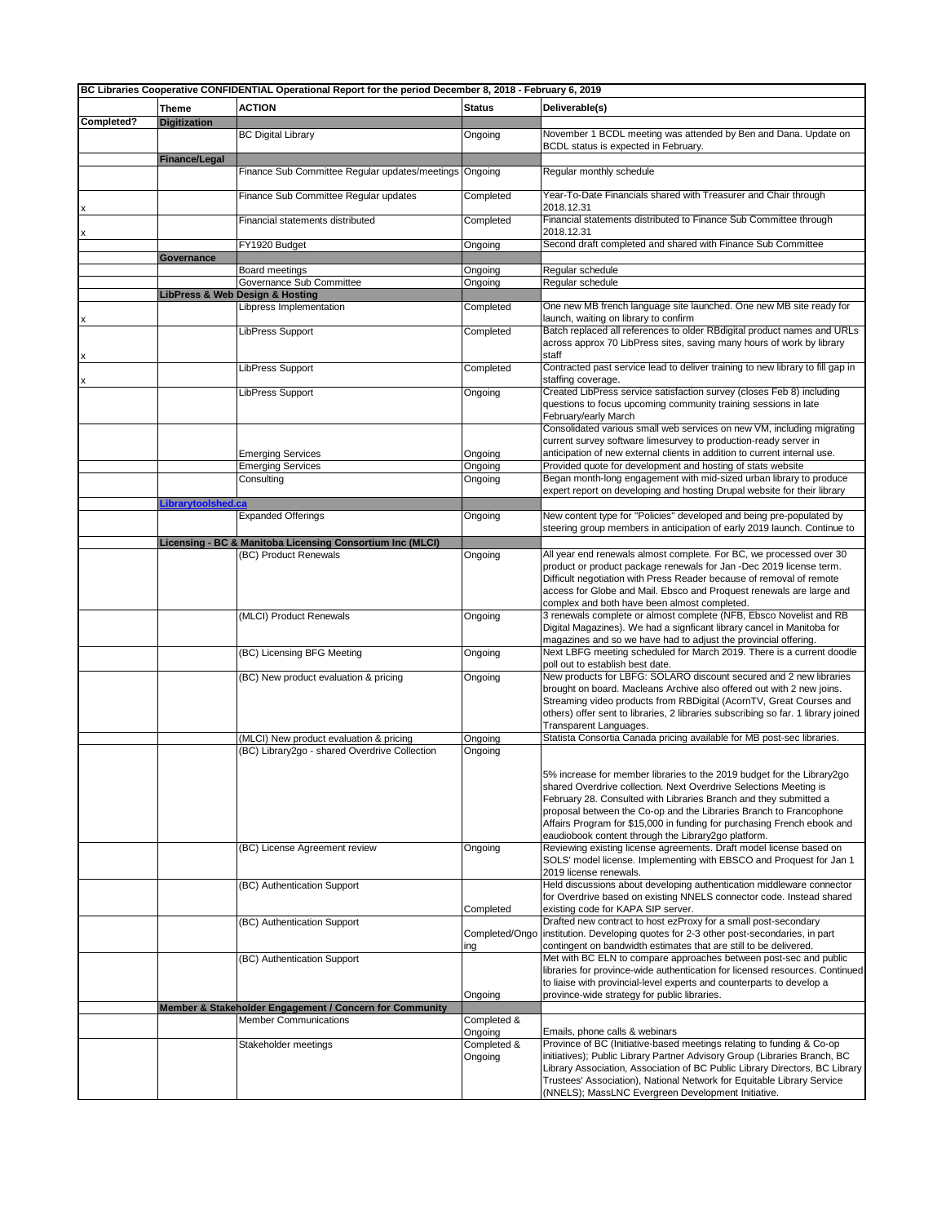| BC Libraries Cooperative CONFIDENTIAL Operational Report for the period December 8, 2018 - February 6, 2019 |                      |                                                                                          |                        |                                                                                                                                                   |  |
|-------------------------------------------------------------------------------------------------------------|----------------------|------------------------------------------------------------------------------------------|------------------------|---------------------------------------------------------------------------------------------------------------------------------------------------|--|
|                                                                                                             | <b>Theme</b>         | <b>ACTION</b>                                                                            | <b>Status</b>          | Deliverable(s)                                                                                                                                    |  |
| Completed?                                                                                                  | <b>Digitization</b>  |                                                                                          |                        |                                                                                                                                                   |  |
|                                                                                                             |                      | <b>BC Digital Library</b>                                                                | Ongoing                | November 1 BCDL meeting was attended by Ben and Dana. Update on                                                                                   |  |
|                                                                                                             |                      |                                                                                          |                        | BCDL status is expected in February.                                                                                                              |  |
|                                                                                                             | <b>Finance/Legal</b> |                                                                                          |                        |                                                                                                                                                   |  |
|                                                                                                             |                      | Finance Sub Committee Regular updates/meetings                                           | Ongoing                | Regular monthly schedule                                                                                                                          |  |
|                                                                                                             |                      | Finance Sub Committee Regular updates                                                    | Completed              | Year-To-Date Financials shared with Treasurer and Chair through                                                                                   |  |
|                                                                                                             |                      |                                                                                          |                        | 2018.12.31                                                                                                                                        |  |
|                                                                                                             |                      | Financial statements distributed                                                         | Completed              | Financial statements distributed to Finance Sub Committee through                                                                                 |  |
|                                                                                                             |                      |                                                                                          |                        | 2018.12.31                                                                                                                                        |  |
|                                                                                                             |                      | FY1920 Budget                                                                            | Ongoing                | Second draft completed and shared with Finance Sub Committee                                                                                      |  |
|                                                                                                             | Governance           | Board meetings                                                                           | Ongoing                | Regular schedule                                                                                                                                  |  |
|                                                                                                             |                      | Governance Sub Committee                                                                 | Ongoing                | Regular schedule                                                                                                                                  |  |
|                                                                                                             |                      | <b>LibPress &amp; Web Design &amp; Hosting</b>                                           |                        |                                                                                                                                                   |  |
|                                                                                                             |                      | Libpress Implementation                                                                  | Completed              | One new MB french language site launched. One new MB site ready for                                                                               |  |
|                                                                                                             |                      |                                                                                          |                        | launch, waiting on library to confirm                                                                                                             |  |
|                                                                                                             |                      | LibPress Support                                                                         | Completed              | Batch replaced all references to older RBdigital product names and URLs<br>across approx 70 LibPress sites, saving many hours of work by library  |  |
|                                                                                                             |                      |                                                                                          |                        | staff                                                                                                                                             |  |
|                                                                                                             |                      | LibPress Support                                                                         | Completed              | Contracted past service lead to deliver training to new library to fill gap in                                                                    |  |
|                                                                                                             |                      |                                                                                          |                        | staffing coverage.                                                                                                                                |  |
|                                                                                                             |                      | LibPress Support                                                                         | Ongoing                | Created LibPress service satisfaction survey (closes Feb 8) including                                                                             |  |
|                                                                                                             |                      |                                                                                          |                        | questions to focus upcoming community training sessions in late<br>February/early March                                                           |  |
|                                                                                                             |                      |                                                                                          |                        | Consolidated various small web services on new VM, including migrating                                                                            |  |
|                                                                                                             |                      |                                                                                          |                        | current survey software limesurvey to production-ready server in                                                                                  |  |
|                                                                                                             |                      | <b>Emerging Services</b>                                                                 | Ongoing                | anticipation of new external clients in addition to current internal use.                                                                         |  |
|                                                                                                             |                      | <b>Emerging Services</b>                                                                 | Ongoing                | Provided quote for development and hosting of stats website                                                                                       |  |
|                                                                                                             |                      | Consulting                                                                               | Ongoing                | Began month-long engagement with mid-sized urban library to produce                                                                               |  |
|                                                                                                             | Librarytoolshed.ca   |                                                                                          |                        | expert report on developing and hosting Drupal website for their library                                                                          |  |
|                                                                                                             |                      | <b>Expanded Offerings</b>                                                                | Ongoing                | New content type for "Policies" developed and being pre-populated by                                                                              |  |
|                                                                                                             |                      |                                                                                          |                        | steering group members in anticipation of early 2019 launch. Continue to                                                                          |  |
|                                                                                                             |                      | Licensing - BC & Manitoba Licensing Consortium Inc (MLCI)                                |                        |                                                                                                                                                   |  |
|                                                                                                             |                      | (BC) Product Renewals                                                                    | Ongoing                | All year end renewals almost complete. For BC, we processed over 30                                                                               |  |
|                                                                                                             |                      |                                                                                          |                        | product or product package renewals for Jan -Dec 2019 license term.                                                                               |  |
|                                                                                                             |                      |                                                                                          |                        | Difficult negotiation with Press Reader because of removal of remote<br>access for Globe and Mail. Ebsco and Proquest renewals are large and      |  |
|                                                                                                             |                      |                                                                                          |                        | complex and both have been almost completed.                                                                                                      |  |
|                                                                                                             |                      | (MLCI) Product Renewals                                                                  | Ongoing                | 3 renewals complete or almost complete (NFB, Ebsco Novelist and RB                                                                                |  |
|                                                                                                             |                      |                                                                                          |                        | Digital Magazines). We had a signficant library cancel in Manitoba for                                                                            |  |
|                                                                                                             |                      |                                                                                          |                        | magazines and so we have had to adjust the provincial offering.                                                                                   |  |
|                                                                                                             |                      | (BC) Licensing BFG Meeting                                                               | Ongoing                | Next LBFG meeting scheduled for March 2019. There is a current doodle                                                                             |  |
|                                                                                                             |                      | (BC) New product evaluation & pricing                                                    | Ongoing                | poll out to establish best date.<br>New products for LBFG: SOLARO discount secured and 2 new libraries                                            |  |
|                                                                                                             |                      |                                                                                          |                        | brought on board. Macleans Archive also offered out with 2 new joins.                                                                             |  |
|                                                                                                             |                      |                                                                                          |                        | Streaming video products from RBDigital (AcornTV, Great Courses and                                                                               |  |
|                                                                                                             |                      |                                                                                          |                        | others) offer sent to libraries, 2 libraries subscribing so far. 1 library joined                                                                 |  |
|                                                                                                             |                      |                                                                                          |                        | Transparent Languages.                                                                                                                            |  |
|                                                                                                             |                      | (MLCI) New product evaluation & pricing<br>(BC) Library2go - shared Overdrive Collection | Ongoing                | Statista Consortia Canada pricing available for MB post-sec libraries.                                                                            |  |
|                                                                                                             |                      |                                                                                          | Ongoing                |                                                                                                                                                   |  |
|                                                                                                             |                      |                                                                                          |                        | 5% increase for member libraries to the 2019 budget for the Library2go                                                                            |  |
|                                                                                                             |                      |                                                                                          |                        | shared Overdrive collection. Next Overdrive Selections Meeting is                                                                                 |  |
|                                                                                                             |                      |                                                                                          |                        | February 28. Consulted with Libraries Branch and they submitted a                                                                                 |  |
|                                                                                                             |                      |                                                                                          |                        | proposal between the Co-op and the Libraries Branch to Francophone<br>Affairs Program for \$15,000 in funding for purchasing French ebook and     |  |
|                                                                                                             |                      |                                                                                          |                        | eaudiobook content through the Library2go platform.                                                                                               |  |
|                                                                                                             |                      | (BC) License Agreement review                                                            | Ongoing                | Reviewing existing license agreements. Draft model license based on                                                                               |  |
|                                                                                                             |                      |                                                                                          |                        | SOLS' model license. Implementing with EBSCO and Proquest for Jan 1                                                                               |  |
|                                                                                                             |                      |                                                                                          |                        | 2019 license renewals.                                                                                                                            |  |
|                                                                                                             |                      | (BC) Authentication Support                                                              |                        | Held discussions about developing authentication middleware connector<br>for Overdrive based on existing NNELS connector code. Instead shared     |  |
|                                                                                                             |                      |                                                                                          | Completed              | existing code for KAPA SIP server.                                                                                                                |  |
|                                                                                                             |                      | (BC) Authentication Support                                                              |                        | Drafted new contract to host ezProxy for a small post-secondary                                                                                   |  |
|                                                                                                             |                      |                                                                                          |                        | Completed/Ongo   institution. Developing quotes for 2-3 other post-secondaries, in part                                                           |  |
|                                                                                                             |                      |                                                                                          | ing                    | contingent on bandwidth estimates that are still to be delivered.                                                                                 |  |
|                                                                                                             |                      | (BC) Authentication Support                                                              |                        | Met with BC ELN to compare approaches between post-sec and public<br>libraries for province-wide authentication for licensed resources. Continued |  |
|                                                                                                             |                      |                                                                                          |                        | to liaise with provincial-level experts and counterparts to develop a                                                                             |  |
|                                                                                                             |                      |                                                                                          | Ongoing                | province-wide strategy for public libraries.                                                                                                      |  |
|                                                                                                             |                      | Member & Stakeholder Engagement / Concern for Community                                  |                        |                                                                                                                                                   |  |
|                                                                                                             |                      | <b>Member Communications</b>                                                             | Completed &            |                                                                                                                                                   |  |
|                                                                                                             |                      |                                                                                          | Ongoing<br>Completed & | Emails, phone calls & webinars<br>Province of BC (Initiative-based meetings relating to funding & Co-op                                           |  |
|                                                                                                             |                      | Stakeholder meetings                                                                     | Ongoing                | initiatives); Public Library Partner Advisory Group (Libraries Branch, BC                                                                         |  |
|                                                                                                             |                      |                                                                                          |                        | Library Association, Association of BC Public Library Directors, BC Library                                                                       |  |
|                                                                                                             |                      |                                                                                          |                        | Trustees' Association), National Network for Equitable Library Service                                                                            |  |
|                                                                                                             |                      |                                                                                          |                        | (NNELS); MassLNC Evergreen Development Initiative.                                                                                                |  |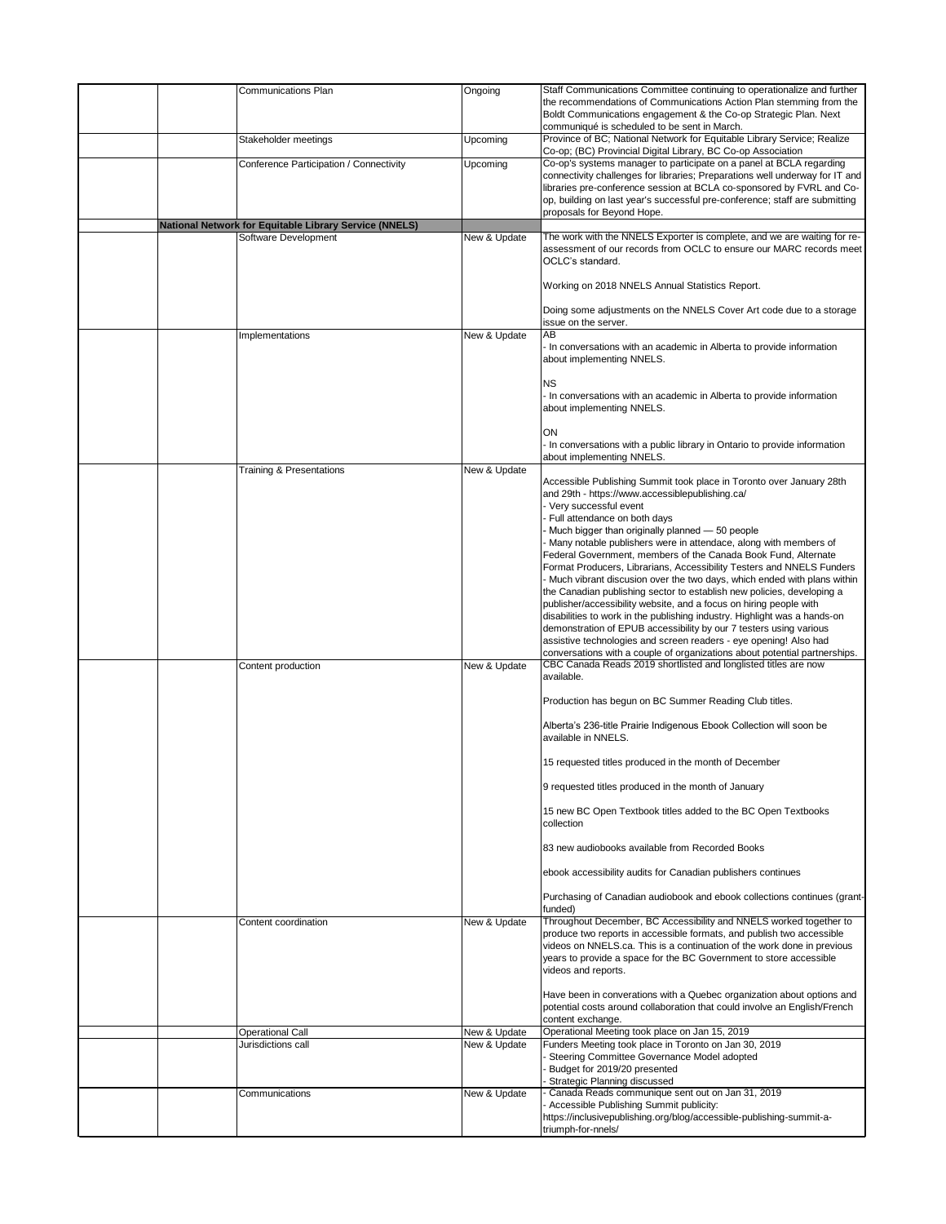| Communications Plan                                                            | Ongoing                      | Staff Communications Committee continuing to operationalize and further<br>the recommendations of Communications Action Plan stemming from the<br>Boldt Communications engagement & the Co-op Strategic Plan. Next<br>communiqué is scheduled to be sent in March.                                                                                                                                                                                                                                                                                                                                                                                                                                                                                                                                                                                                                                                                                                                          |
|--------------------------------------------------------------------------------|------------------------------|---------------------------------------------------------------------------------------------------------------------------------------------------------------------------------------------------------------------------------------------------------------------------------------------------------------------------------------------------------------------------------------------------------------------------------------------------------------------------------------------------------------------------------------------------------------------------------------------------------------------------------------------------------------------------------------------------------------------------------------------------------------------------------------------------------------------------------------------------------------------------------------------------------------------------------------------------------------------------------------------|
| Stakeholder meetings                                                           | Upcoming                     | Province of BC; National Network for Equitable Library Service; Realize<br>Co-op; (BC) Provincial Digital Library, BC Co-op Association                                                                                                                                                                                                                                                                                                                                                                                                                                                                                                                                                                                                                                                                                                                                                                                                                                                     |
| Conference Participation / Connectivity                                        | Upcoming                     | Co-op's systems manager to participate on a panel at BCLA regarding<br>connectivity challenges for libraries; Preparations well underway for IT and<br>libraries pre-conference session at BCLA co-sponsored by FVRL and Co-<br>op, building on last year's successful pre-conference; staff are submitting<br>proposals for Beyond Hope.                                                                                                                                                                                                                                                                                                                                                                                                                                                                                                                                                                                                                                                   |
| National Network for Equitable Library Service (NNELS)<br>Software Development | New & Update                 | The work with the NNELS Exporter is complete, and we are waiting for re-<br>assessment of our records from OCLC to ensure our MARC records meet                                                                                                                                                                                                                                                                                                                                                                                                                                                                                                                                                                                                                                                                                                                                                                                                                                             |
|                                                                                |                              | OCLC's standard.<br>Working on 2018 NNELS Annual Statistics Report.                                                                                                                                                                                                                                                                                                                                                                                                                                                                                                                                                                                                                                                                                                                                                                                                                                                                                                                         |
|                                                                                |                              | Doing some adjustments on the NNELS Cover Art code due to a storage<br>issue on the server.                                                                                                                                                                                                                                                                                                                                                                                                                                                                                                                                                                                                                                                                                                                                                                                                                                                                                                 |
| Implementations                                                                | New & Update                 | AB<br>- In conversations with an academic in Alberta to provide information<br>about implementing NNELS.                                                                                                                                                                                                                                                                                                                                                                                                                                                                                                                                                                                                                                                                                                                                                                                                                                                                                    |
|                                                                                |                              | <b>NS</b><br>- In conversations with an academic in Alberta to provide information<br>about implementing NNELS.                                                                                                                                                                                                                                                                                                                                                                                                                                                                                                                                                                                                                                                                                                                                                                                                                                                                             |
|                                                                                |                              | ON<br>- In conversations with a public library in Ontario to provide information<br>about implementing NNELS.                                                                                                                                                                                                                                                                                                                                                                                                                                                                                                                                                                                                                                                                                                                                                                                                                                                                               |
| <b>Training &amp; Presentations</b>                                            | New & Update                 | Accessible Publishing Summit took place in Toronto over January 28th<br>and 29th - https://www.accessiblepublishing.ca/<br>Very successful event<br>- Full attendance on both days<br>- Much bigger than originally planned - 50 people<br>- Many notable publishers were in attendace, along with members of<br>Federal Government, members of the Canada Book Fund, Alternate<br>Format Producers, Librarians, Accessibility Testers and NNELS Funders<br>- Much vibrant discusion over the two days, which ended with plans within<br>the Canadian publishing sector to establish new policies, developing a<br>publisher/accessibility website, and a focus on hiring people with<br>disabilities to work in the publishing industry. Highlight was a hands-on<br>demonstration of EPUB accessibility by our 7 testers using various<br>assistive technologies and screen readers - eye opening! Also had<br>conversations with a couple of organizations about potential partnerships. |
| Content production                                                             | New & Update                 | CBC Canada Reads 2019 shortlisted and longlisted titles are now<br>available.<br>Production has begun on BC Summer Reading Club titles.<br>Alberta's 236-title Prairie Indigenous Ebook Collection will soon be<br>available in NNELS.                                                                                                                                                                                                                                                                                                                                                                                                                                                                                                                                                                                                                                                                                                                                                      |
|                                                                                |                              | 15 requested titles produced in the month of December                                                                                                                                                                                                                                                                                                                                                                                                                                                                                                                                                                                                                                                                                                                                                                                                                                                                                                                                       |
|                                                                                |                              | 9 requested titles produced in the month of January                                                                                                                                                                                                                                                                                                                                                                                                                                                                                                                                                                                                                                                                                                                                                                                                                                                                                                                                         |
|                                                                                |                              | 15 new BC Open Textbook titles added to the BC Open Textbooks<br>collection                                                                                                                                                                                                                                                                                                                                                                                                                                                                                                                                                                                                                                                                                                                                                                                                                                                                                                                 |
|                                                                                |                              | 83 new audiobooks available from Recorded Books                                                                                                                                                                                                                                                                                                                                                                                                                                                                                                                                                                                                                                                                                                                                                                                                                                                                                                                                             |
|                                                                                |                              | ebook accessibility audits for Canadian publishers continues<br>Purchasing of Canadian audiobook and ebook collections continues (grant-                                                                                                                                                                                                                                                                                                                                                                                                                                                                                                                                                                                                                                                                                                                                                                                                                                                    |
| Content coordination                                                           | New & Update                 | funded)<br>Throughout December, BC Accessibility and NNELS worked together to                                                                                                                                                                                                                                                                                                                                                                                                                                                                                                                                                                                                                                                                                                                                                                                                                                                                                                               |
|                                                                                |                              | produce two reports in accessible formats, and publish two accessible<br>videos on NNELS.ca. This is a continuation of the work done in previous<br>years to provide a space for the BC Government to store accessible<br>videos and reports.                                                                                                                                                                                                                                                                                                                                                                                                                                                                                                                                                                                                                                                                                                                                               |
|                                                                                |                              | Have been in converations with a Quebec organization about options and<br>potential costs around collaboration that could involve an English/French<br>content exchange.                                                                                                                                                                                                                                                                                                                                                                                                                                                                                                                                                                                                                                                                                                                                                                                                                    |
| <b>Operational Call</b><br>Jurisdictions call                                  | New & Update<br>New & Update | Operational Meeting took place on Jan 15, 2019<br>Funders Meeting took place in Toronto on Jan 30, 2019                                                                                                                                                                                                                                                                                                                                                                                                                                                                                                                                                                                                                                                                                                                                                                                                                                                                                     |
|                                                                                |                              | Steering Committee Governance Model adopted<br>Budget for 2019/20 presented<br>Strategic Planning discussed                                                                                                                                                                                                                                                                                                                                                                                                                                                                                                                                                                                                                                                                                                                                                                                                                                                                                 |
| Communications                                                                 | New & Update                 | Canada Reads communique sent out on Jan 31, 2019<br>- Accessible Publishing Summit publicity:<br>https://inclusivepublishing.org/blog/accessible-publishing-summit-a-                                                                                                                                                                                                                                                                                                                                                                                                                                                                                                                                                                                                                                                                                                                                                                                                                       |
|                                                                                |                              | triumph-for-nnels/                                                                                                                                                                                                                                                                                                                                                                                                                                                                                                                                                                                                                                                                                                                                                                                                                                                                                                                                                                          |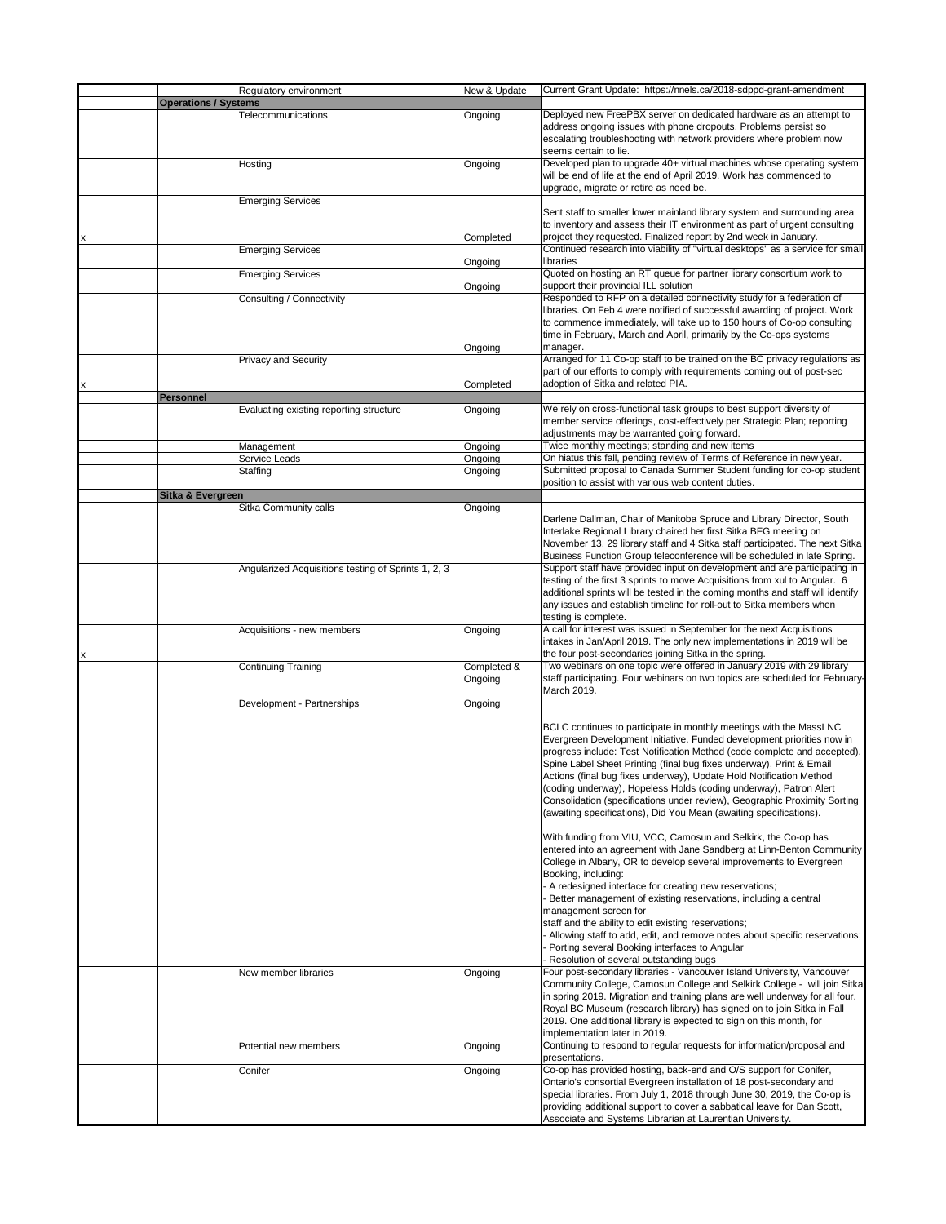|                             | Regulatory environment                              | New & Update | Current Grant Update: https://nnels.ca/2018-sdppd-grant-amendment                                                                                            |
|-----------------------------|-----------------------------------------------------|--------------|--------------------------------------------------------------------------------------------------------------------------------------------------------------|
| <b>Operations / Systems</b> |                                                     |              |                                                                                                                                                              |
|                             | Telecommunications                                  | Ongoing      | Deployed new FreePBX server on dedicated hardware as an attempt to                                                                                           |
|                             |                                                     |              | address ongoing issues with phone dropouts. Problems persist so<br>escalating troubleshooting with network providers where problem now                       |
|                             |                                                     |              | seems certain to lie.                                                                                                                                        |
|                             | Hosting                                             | Ongoing      | Developed plan to upgrade 40+ virtual machines whose operating system                                                                                        |
|                             |                                                     |              | will be end of life at the end of April 2019. Work has commenced to                                                                                          |
|                             |                                                     |              | upgrade, migrate or retire as need be.                                                                                                                       |
|                             | <b>Emerging Services</b>                            |              |                                                                                                                                                              |
|                             |                                                     |              | Sent staff to smaller lower mainland library system and surrounding area<br>to inventory and assess their IT environment as part of urgent consulting        |
|                             |                                                     | Completed    | project they requested. Finalized report by 2nd week in January.                                                                                             |
|                             | <b>Emerging Services</b>                            |              | Continued research into viability of "virtual desktops" as a service for small                                                                               |
|                             |                                                     | Ongoing      | libraries                                                                                                                                                    |
|                             | <b>Emerging Services</b>                            |              | Quoted on hosting an RT queue for partner library consortium work to                                                                                         |
|                             |                                                     | Ongoing      | support their provincial ILL solution                                                                                                                        |
|                             | Consulting / Connectivity                           |              | Responded to RFP on a detailed connectivity study for a federation of<br>libraries. On Feb 4 were notified of successful awarding of project. Work           |
|                             |                                                     |              | to commence immediately, will take up to 150 hours of Co-op consulting                                                                                       |
|                             |                                                     |              | time in February, March and April, primarily by the Co-ops systems                                                                                           |
|                             |                                                     | Ongoing      | manager.                                                                                                                                                     |
|                             | <b>Privacy and Security</b>                         |              | Arranged for 11 Co-op staff to be trained on the BC privacy regulations as                                                                                   |
|                             |                                                     |              | part of our efforts to comply with requirements coming out of post-sec                                                                                       |
|                             |                                                     | Completed    | adoption of Sitka and related PIA.                                                                                                                           |
| Personnel                   | Evaluating existing reporting structure             |              | We rely on cross-functional task groups to best support diversity of                                                                                         |
|                             |                                                     | Ongoing      | member service offerings, cost-effectively per Strategic Plan; reporting                                                                                     |
|                             |                                                     |              | adjustments may be warranted going forward.                                                                                                                  |
|                             | Management                                          | Ongoing      | Twice monthly meetings; standing and new items                                                                                                               |
|                             | Service Leads                                       | Ongoing      | On hiatus this fall, pending review of Terms of Reference in new year.                                                                                       |
|                             | Staffing                                            | Ongoing      | Submitted proposal to Canada Summer Student funding for co-op student                                                                                        |
|                             |                                                     |              | position to assist with various web content duties.                                                                                                          |
| Sitka & Evergreen           | Sitka Community calls                               | Ongoing      |                                                                                                                                                              |
|                             |                                                     |              | Darlene Dallman, Chair of Manitoba Spruce and Library Director, South                                                                                        |
|                             |                                                     |              | Interlake Regional Library chaired her first Sitka BFG meeting on                                                                                            |
|                             |                                                     |              | November 13. 29 library staff and 4 Sitka staff participated. The next Sitka                                                                                 |
|                             |                                                     |              | Business Function Group teleconference will be scheduled in late Spring.                                                                                     |
|                             | Angularized Acquisitions testing of Sprints 1, 2, 3 |              | Support staff have provided input on development and are participating in                                                                                    |
|                             |                                                     |              | testing of the first 3 sprints to move Acquisitions from xul to Angular. 6<br>additional sprints will be tested in the coming months and staff will identify |
|                             |                                                     |              | any issues and establish timeline for roll-out to Sitka members when                                                                                         |
|                             |                                                     |              | testing is complete.                                                                                                                                         |
|                             | Acquisitions - new members                          | Ongoing      | A call for interest was issued in September for the next Acquisitions                                                                                        |
|                             |                                                     |              | intakes in Jan/April 2019. The only new implementations in 2019 will be                                                                                      |
|                             |                                                     |              | the four post-secondaries joining Sitka in the spring.                                                                                                       |
|                             | <b>Continuing Training</b>                          | Completed &  | Two webinars on one topic were offered in January 2019 with 29 library<br>staff participating. Four webinars on two topics are scheduled for February-       |
|                             |                                                     | Ongoing      | March 2019.                                                                                                                                                  |
|                             | Development - Partnerships                          | Ongoing      |                                                                                                                                                              |
|                             |                                                     |              |                                                                                                                                                              |
|                             |                                                     |              | BCLC continues to participate in monthly meetings with the MassLNC                                                                                           |
|                             |                                                     |              | Evergreen Development Initiative. Funded development priorities now in                                                                                       |
|                             |                                                     |              | progress include: Test Notification Method (code complete and accepted),<br>Spine Label Sheet Printing (final bug fixes underway), Print & Email             |
|                             |                                                     |              | Actions (final bug fixes underway), Update Hold Notification Method                                                                                          |
|                             |                                                     |              | (coding underway), Hopeless Holds (coding underway), Patron Alert                                                                                            |
|                             |                                                     |              | Consolidation (specifications under review), Geographic Proximity Sorting                                                                                    |
|                             |                                                     |              | (awaiting specifications), Did You Mean (awaiting specifications).                                                                                           |
|                             |                                                     |              |                                                                                                                                                              |
|                             |                                                     |              | With funding from VIU, VCC, Camosun and Selkirk, the Co-op has<br>entered into an agreement with Jane Sandberg at Linn-Benton Community                      |
|                             |                                                     |              | College in Albany, OR to develop several improvements to Evergreen                                                                                           |
|                             |                                                     |              | Booking, including:                                                                                                                                          |
|                             |                                                     |              | - A redesigned interface for creating new reservations;                                                                                                      |
|                             |                                                     |              | - Better management of existing reservations, including a central                                                                                            |
|                             |                                                     |              | management screen for                                                                                                                                        |
|                             |                                                     |              | staff and the ability to edit existing reservations;<br>- Allowing staff to add, edit, and remove notes about specific reservations;                         |
|                             |                                                     |              | Porting several Booking interfaces to Angular                                                                                                                |
|                             |                                                     |              | Resolution of several outstanding bugs                                                                                                                       |
|                             | New member libraries                                | Ongoing      | Four post-secondary libraries - Vancouver Island University, Vancouver                                                                                       |
|                             |                                                     |              | Community College, Camosun College and Selkirk College - will join Sitka                                                                                     |
|                             |                                                     |              | in spring 2019. Migration and training plans are well underway for all four.                                                                                 |
|                             |                                                     |              | Royal BC Museum (research library) has signed on to join Sitka in Fall<br>2019. One additional library is expected to sign on this month, for                |
|                             |                                                     |              | implementation later in 2019.                                                                                                                                |
|                             | Potential new members                               | Ongoing      | Continuing to respond to regular requests for information/proposal and                                                                                       |
|                             |                                                     |              | presentations.                                                                                                                                               |
|                             | Conifer                                             | Ongoing      | Co-op has provided hosting, back-end and O/S support for Conifer,                                                                                            |
|                             |                                                     |              | Ontario's consortial Evergreen installation of 18 post-secondary and                                                                                         |
|                             |                                                     |              | special libraries. From July 1, 2018 through June 30, 2019, the Co-op is<br>providing additional support to cover a sabbatical leave for Dan Scott,          |
|                             |                                                     |              | Associate and Systems Librarian at Laurentian University.                                                                                                    |
|                             |                                                     |              |                                                                                                                                                              |